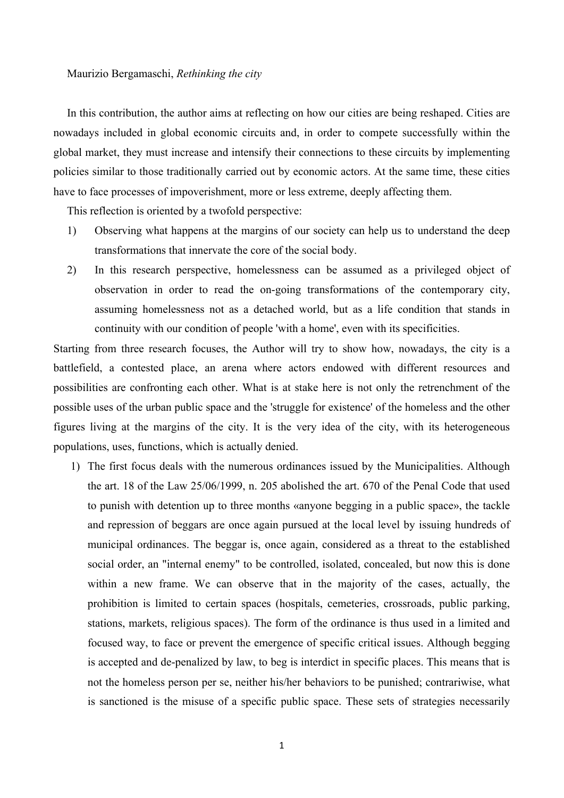## Maurizio Bergamaschi, *Rethinking the city*

In this contribution, the author aims at reflecting on how our cities are being reshaped. Cities are nowadays included in global economic circuits and, in order to compete successfully within the global market, they must increase and intensify their connections to these circuits by implementing policies similar to those traditionally carried out by economic actors. At the same time, these cities have to face processes of impoverishment, more or less extreme, deeply affecting them.

This reflection is oriented by a twofold perspective:

- 1) Observing what happens at the margins of our society can help us to understand the deep transformations that innervate the core of the social body.
- 2) In this research perspective, homelessness can be assumed as a privileged object of observation in order to read the on-going transformations of the contemporary city, assuming homelessness not as a detached world, but as a life condition that stands in continuity with our condition of people 'with a home', even with its specificities.

Starting from three research focuses, the Author will try to show how, nowadays, the city is a battlefield, a contested place, an arena where actors endowed with different resources and possibilities are confronting each other. What is at stake here is not only the retrenchment of the possible uses of the urban public space and the 'struggle for existence' of the homeless and the other figures living at the margins of the city. It is the very idea of the city, with its heterogeneous populations, uses, functions, which is actually denied.

1) The first focus deals with the numerous ordinances issued by the Municipalities. Although the art. 18 of the Law 25/06/1999, n. 205 abolished the art. 670 of the Penal Code that used to punish with detention up to three months «anyone begging in a public space», the tackle and repression of beggars are once again pursued at the local level by issuing hundreds of municipal ordinances. The beggar is, once again, considered as a threat to the established social order, an "internal enemy" to be controlled, isolated, concealed, but now this is done within a new frame. We can observe that in the majority of the cases, actually, the prohibition is limited to certain spaces (hospitals, cemeteries, crossroads, public parking, stations, markets, religious spaces). The form of the ordinance is thus used in a limited and focused way, to face or prevent the emergence of specific critical issues. Although begging is accepted and de-penalized by law, to beg is interdict in specific places. This means that is not the homeless person per se, neither his/her behaviors to be punished; contrariwise, what is sanctioned is the misuse of a specific public space. These sets of strategies necessarily